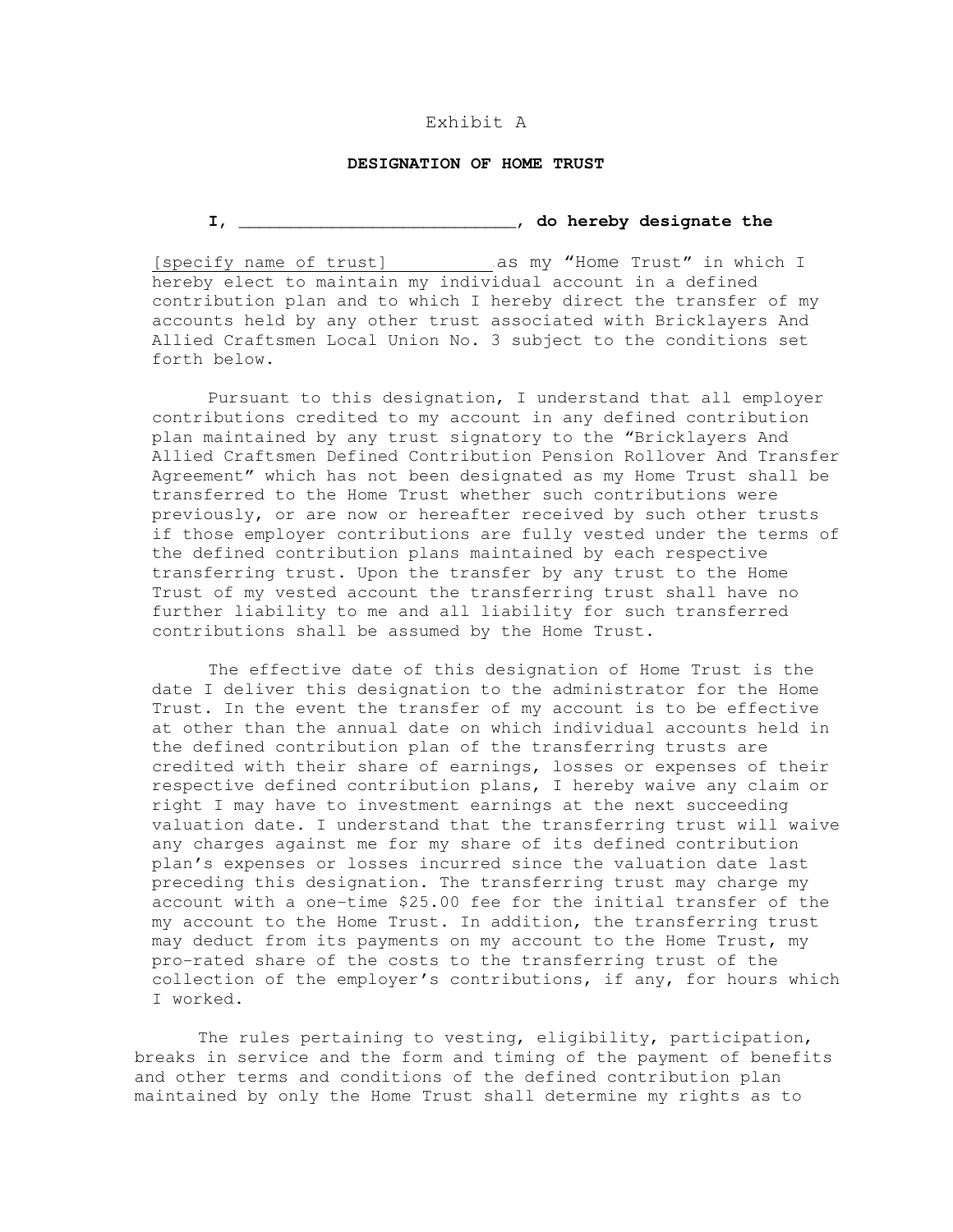## Exhibit A

## **DESIGNATION OF HOME TRUST**

**I,** \_\_\_\_\_\_\_\_\_\_\_\_\_\_\_\_\_\_\_\_\_\_\_\_\_\_\_, **do hereby designate the** 

[specify name of trust] . as my "Home Trust" in which I hereby elect to maintain my individual account in a defined contribution plan and to which I hereby direct the transfer of my accounts held by any other trust associated with Bricklayers And Allied Craftsmen Local Union No. 3 subject to the conditions set forth below.

Pursuant to this designation, I understand that all employer contributions credited to my account in any defined contribution plan maintained by any trust signatory to the "Bricklayers And Allied Craftsmen Defined Contribution Pension Rollover And Transfer Agreement" which has not been designated as my Home Trust shall be transferred to the Home Trust whether such contributions were previously, or are now or hereafter received by such other trusts if those employer contributions are fully vested under the terms of the defined contribution plans maintained by each respective transferring trust. Upon the transfer by any trust to the Home Trust of my vested account the transferring trust shall have no further liability to me and all liability for such transferred contributions shall be assumed by the Home Trust.

The effective date of this designation of Home Trust is the date I deliver this designation to the administrator for the Home Trust. In the event the transfer of my account is to be effective at other than the annual date on which individual accounts held in the defined contribution plan of the transferring trusts are credited with their share of earnings, losses or expenses of their respective defined contribution plans, I hereby waive any claim or right I may have to investment earnings at the next succeeding valuation date. I understand that the transferring trust will waive any charges against me for my share of its defined contribution plan's expenses or losses incurred since the valuation date last preceding this designation. The transferring trust may charge my account with a one-time \$25.00 fee for the initial transfer of the my account to the Home Trust. In addition, the transferring trust may deduct from its payments on my account to the Home Trust, my pro-rated share of the costs to the transferring trust of the collection of the employer's contributions, if any, for hours which I worked.

The rules pertaining to vesting, eligibility, participation, breaks in service and the form and timing of the payment of benefits and other terms and conditions of the defined contribution plan maintained by only the Home Trust shall determine my rights as to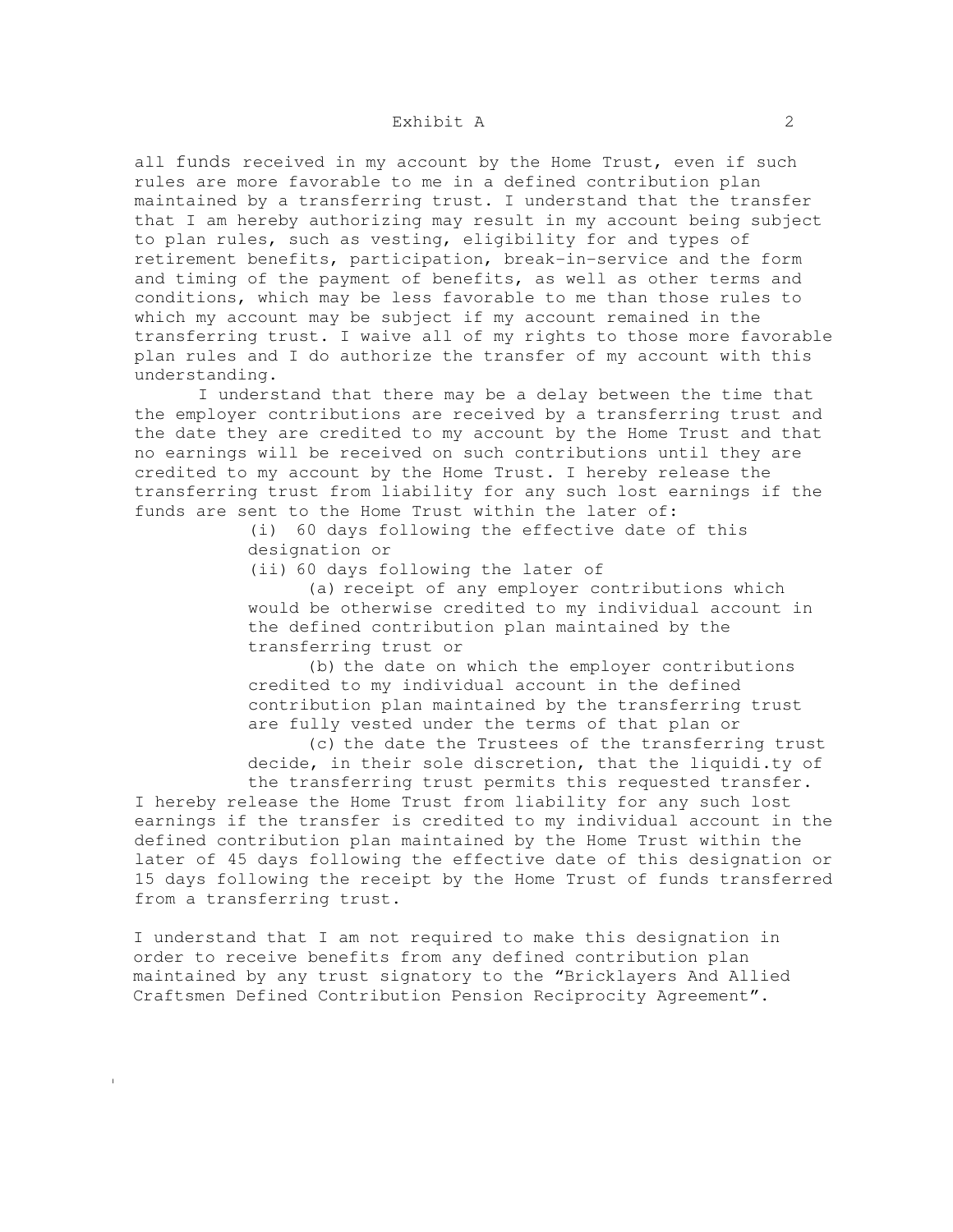all funds received in my account by the Home Trust, even if such rules are more favorable to me in a defined contribution plan maintained by a transferring trust. I understand that the transfer that I am hereby authorizing may result in my account being subject to plan rules, such as vesting, eligibility for and types of retirement benefits, participation, break-in-service and the form and timing of the payment of benefits, as well as other terms and conditions, which may be less favorable to me than those rules to which my account may be subject if my account remained in the transferring trust. I waive all of my rights to those more favorable plan rules and I do authorize the transfer of my account with this understanding.

I understand that there may be a delay between the time that the employer contributions are received by a transferring trust and the date they are credited to my account by the Home Trust and that no earnings will be received on such contributions until they are credited to my account by the Home Trust. I hereby release the transferring trust from liability for any such lost earnings if the funds are sent to the Home Trust within the later of:

> (i) 60 days following the effective date of this designation or

(ii) 60 days following the later of

(a) receipt of any employer contributions which would be otherwise credited to my individual account in the defined contribution plan maintained by the transferring trust or

(b) the date on which the employer contributions credited to my individual account in the defined contribution plan maintained by the transferring trust are fully vested under the terms of that plan or

(c) the date the Trustees of the transferring trust decide, in their sole discretion, that the liquidi.ty of

the transferring trust permits this requested transfer. I hereby release the Home Trust from liability for any such lost earnings if the transfer is credited to my individual account in the defined contribution plan maintained by the Home Trust within the later of 45 days following the effective date of this designation or 15 days following the receipt by the Home Trust of funds transferred from a transferring trust.

I understand that I am not required to make this designation in order to receive benefits from any defined contribution plan maintained by any trust signatory to the "Bricklayers And Allied Craftsmen Defined Contribution Pension Reciprocity Agreement".

I